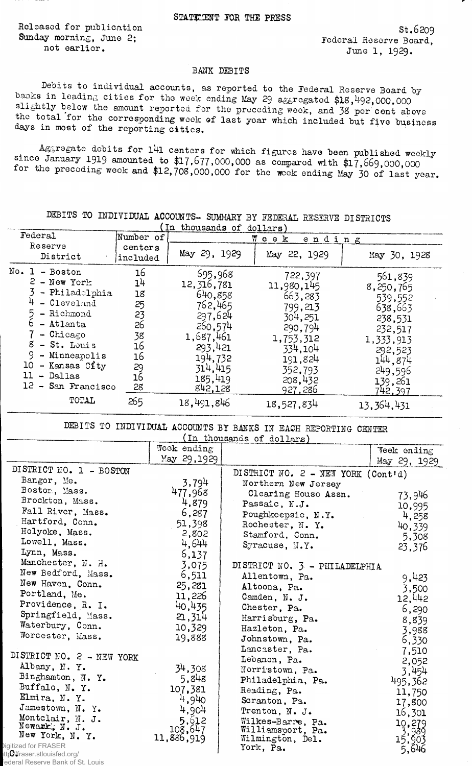Released for publication St.6209<br>
Sunday morning, June 2: Federal Reserve Roard

ay morning, June 2;<br>not earlier. The second parameters of the second reserve Board, included and the second parameters of the second June 1, 1929.

## BANK DEBITS

Debits to individual accounts, as reported to the Federal Reserve Board by banks in leading cities for the week ending May 29 aggregated \$18,492,000,000 slightly below the amount reported for the preceding week, and 38 per cent above the total for the corresponding week of last year which included but five business days in most of the reporting cities.

Aggregate debits for l4l centers for which figures have been published weekly since January 1919 amounted to \$17,677,000,000 as compared with  $$17,669,000,000$ for the preceding week and \$12,708,000,000 for the week ending May 30 of last year.

|                                                                                                                                                                                                                            |                                                                      | In thousands of dollars)                                                                                                                |                                                                                                                                       |                                                                                                                                      |
|----------------------------------------------------------------------------------------------------------------------------------------------------------------------------------------------------------------------------|----------------------------------------------------------------------|-----------------------------------------------------------------------------------------------------------------------------------------|---------------------------------------------------------------------------------------------------------------------------------------|--------------------------------------------------------------------------------------------------------------------------------------|
| Federal                                                                                                                                                                                                                    | Number of                                                            |                                                                                                                                         | Пеек<br>ending                                                                                                                        |                                                                                                                                      |
| Reserve<br>District                                                                                                                                                                                                        | centers<br>included                                                  | May 29, 1929                                                                                                                            | May 22, 1929                                                                                                                          | May 30, 1928                                                                                                                         |
| $No. 1 - Boston$<br>$2 - New York$<br>- Philadelphia<br>- Cleveland<br>- Richmond<br>- Atlanta<br>$-$ Chicago<br>8<br>- St. Louis<br>9<br>- Minneapolis<br>10<br>- Kansas City<br>11<br>- Dallas<br>12.<br>- San Francisco | 16<br>14<br>18<br>25<br>23<br>26<br>38<br>16<br>16<br>29<br>16<br>28 | 695,968<br>12, 316, 781<br>640,858<br>762,465<br>297,624<br>260,574<br>1,687,461<br>293,421<br>194,732<br>314,415<br>185,419<br>842,128 | 722,397<br>11,980,145<br>663,283<br>799,213<br>304,251<br>290,794<br>1,753,312<br>334,104<br>191,824<br>352,793<br>208,432<br>927,286 | 561,839<br>8,250,765<br>539,552<br>638,663<br>238,531<br>232,517<br>1,333,913<br>292,523<br>144,874<br>249,596<br>139,261<br>742.397 |
| TOTAL                                                                                                                                                                                                                      | 265                                                                  | 18,491,846                                                                                                                              | 18,527,834                                                                                                                            | 13,364,431                                                                                                                           |

DEBITS TO INDIVIDUAL ACCOUNTS- SUMMARY BY FEDERAL RESERVE DISTRICTS

DEBITS TO INDIVIDUAL ACCOUNTS BY BANKS IN EACH REPORTING CENTER

| (In thousands of dollars)         |                                        |                                    |                 |  |  |
|-----------------------------------|----------------------------------------|------------------------------------|-----------------|--|--|
|                                   | Wook ending                            |                                    | Veek ending     |  |  |
|                                   | May 29,1929                            |                                    | May 29, 1929    |  |  |
| DISTRICT NO. 1 - BOSTON           |                                        | DISTRICT NO. 2 - NEW YORK (Cont'd) |                 |  |  |
| Bangor, Me.                       | 3,794                                  | Northern New Jersey                |                 |  |  |
| Boston, Mass.                     | 477,968                                | Clearing House Assn.               | 73,946          |  |  |
| Brockton, Mass.                   | 4,879                                  | Passaic, N.J.                      | 10,995          |  |  |
| Fall River, Mass.                 | 6,287                                  | Poughkeepsic, N.Y.                 | 4,258           |  |  |
| Hartford, Conn.                   | 51,398                                 | Rochester, N. Y.                   | 40,339          |  |  |
| Holyoke, Mass.                    | 2,802                                  | Stamford, Conn.                    | 5,308           |  |  |
| Lowell, Mass.                     | 4,644                                  | Syracuse, N.Y.                     | 23,376          |  |  |
| Lynn, Mass.                       | 6,137                                  |                                    |                 |  |  |
| Manchester, N. H.                 | 3,075<br>DISTRICT NO. 3 - PHILADELPHIA |                                    |                 |  |  |
| New Bedford, Mass.                | 6,511                                  | Allentown, Pa.                     | 9,423           |  |  |
| New Haven, Conn.                  | 25,281                                 | Altoona, Pa.                       | 3,500           |  |  |
| Portland, Me.                     | 11,226                                 | Camden, N. J.                      | 12,442          |  |  |
| Providence, R. I.                 | 40,435                                 | Chester, Pa.                       | 6,290           |  |  |
| Springfield, Mass.                | 21,314                                 | Harrisburg, Pa.                    | 8,839           |  |  |
| Waterbury, Conn.                  | 10,329                                 | Hazleton, Pa.                      | 3,988           |  |  |
| Worcester, Mass.                  | 19,888                                 | Johnstown, Pa.                     | 6,330           |  |  |
|                                   |                                        | Lancaster, Pa.                     | 7,510           |  |  |
| DISTRICT NO. 2 - NEW YORK         |                                        | Lebanon, Pa.                       | 2,052           |  |  |
| Albany, N.Y.                      | 34,308                                 | Norristown, Pa.                    | 3,454           |  |  |
| Binghamton, N.Y.                  | 5,848                                  | Philadelphia, Pa.                  | 495,362         |  |  |
| Buffalo, N.Y.                     | 107.381                                | Reading, Pa.                       | 11,750          |  |  |
| Elmira, N.Y.                      | 4,940                                  | Scranton, Pa.                      | 17,800          |  |  |
| Jamestown, N. Y.                  | 4,904                                  | Trenton, N. J.                     | 16,301          |  |  |
| Montclair, N. J.<br>Newark, N. J. | 5,612<br>108,647                       | Wilkes-Barre, Pa.                  | 10,279          |  |  |
| New York, N. Y.                   | 11,886,919                             | Williamsport, Pa.                  | 3,989<br>15,903 |  |  |
| ligitized for FRASER              |                                        | Wilmington, Del.<br>York, Pa.      |                 |  |  |
| ttp://fraser.stlouisfed.org/      |                                        |                                    | 5,646           |  |  |
| ederal Reserve Bank of St. Louis  |                                        |                                    |                 |  |  |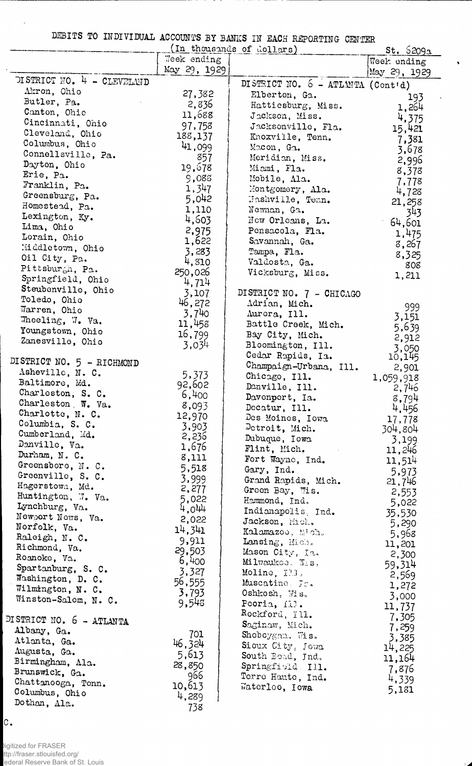DEBITS TO INDIVIDUAL ACCOUNTS BY BANKS IN EACH REPORTING CENTER

 $\ddot{\phantom{1}}$ 

| (In thousands of dollars)           |                 |                                   | st.5209a        |
|-------------------------------------|-----------------|-----------------------------------|-----------------|
|                                     | Week ending     |                                   | Week ending     |
|                                     | May 29, 1929    |                                   | May 29, 1929    |
| DISTRICT NO. 4 - CLEVELAND          |                 | DISTRICT NO. 6 - ATLANTA (Cont'd) |                 |
| Akron, Ohio                         | 27,382          | Elberton, Ga.                     | 193             |
| Butler, Pa.                         | 2,836           | Hattiesburg, Miss.                | 1,264           |
| Canton, Ohio                        | 11,688          | Jackson, Miss.                    | 4,375           |
| Cincinnati, Ohio<br>Cleveland, Ohio | 97,758          | Jacksonville, Fla.                | 15,421          |
| Columbus, Ohio                      | 188,137         | Knoxville, Tenn.                  | 7,381           |
| Connellsville, Pa.                  | 41,099          | Macon, Ga.                        | 3,678           |
| Dayton, Ohio                        | 857             | Meridian, Miss.                   | 2,996           |
| Erie, Pa.                           | 19,678          | Miami, Fla.                       | 8,378           |
| Franklin, Pa.                       | 9,088           | Mobile, Ala.                      | 7,778           |
| Greensburg, Pa.                     | 1,347           | Montgomery, Ala.                  | 4,728           |
| Homestead, Pa.                      | 5,042           | Hashville, Tenn.                  | 21,258          |
| Lexington, Ky.                      | 1,110<br>4,603  | Newnan, Ga.<br>New Orleans, La.   | 343             |
| Lima, Ohio                          | 2,975           | Pensacola, Fla.                   | 64,601          |
| Lorain, Ohio                        | 1,622           | Savannah, Ga.                     | 1,475           |
| Middletown, Ohio                    | 3,283           | Tampa, Fla.                       | 8,267           |
| Oil City, Pa.                       | 4,810           | Valdosta, Ga.                     | 8,325           |
| Pittsburgh, Pa.                     | 250,026         | Vicksburg, Miss.                  | 808             |
| Springfield, Ohio                   | 4,714           |                                   | 1,211           |
| Steubenville, Ohio                  | 3,107           | DISTRICT NO. 7 - CHICAGO          |                 |
| Toledo, Ohio                        | 46,272          | Adrian, Mich.                     | 999             |
| Warren, Ohio                        | 3,740           | Aurora, Ill.                      | 3,151           |
| Theeling, $\mathbb{V}$ . Va.        | 11,458          | Battle Creek, Mich.               | 5,639           |
| Youngstown, Ohio                    | 16,799          | Bay City, Mich.                   | 2,912           |
| Zanesville, Ohio                    | 3,034           | Bloomington, Ill.                 | 3,050           |
| DISTRICT NO. 5 - RICHMOND           |                 | Cedar Rapids, Ia.                 | 10,145          |
| Asheville, N. C.                    |                 | Champaign-Urbana, Ill.            | 2,901           |
| Baltimore, Md.                      | 5,373<br>92,602 | Chicago, Ill.                     | 1,059,918       |
| Charleston, S. C.                   | 6,400           | Danville, Ill.                    | 2,746           |
| Charleston, W. Va.                  | 8,093           | Davenport, Ia.                    | 8,794           |
| Charlotte, N. C.                    | 12,970          | Decatur, Ill.                     | 4,456           |
| Columbia, S. C.                     | 3,903           | Des Moines, Iowa                  | 17,778          |
| Cumberland, Md.                     | 2,236           | Detroit, Mich.<br>Dubuque, Iowa   | 304,804         |
| Denville, Va.                       | 1,676           | Flint, Mich.<br>$\sim 100$        | 3,199<br>11,246 |
| Durham, N. C.                       | 8,111           | Fort Wayne, Ind.                  | 11,514          |
| Greensboro, N. C.                   | 5,518           | Gary, Ind.                        | 5,973           |
| Greenville, S. C.                   | 3,999           | Grand Rapids, Mich.               | 21,746          |
| Hagerstown, Md.                     | 2,277           | Green Bay, Wis.                   | 2,553           |
| Huntington, 7. Va.                  | 5,022           | Hammond, Ind.                     | 5,022           |
| Lynchburg, Va.                      | 4,044           | Indianapolis, Ind.                | 35,530          |
| Newport News, Va.<br>Norfolk, Va.   | 2,022           | Jackson, Mich.                    | 5,290           |
| Raleigh, N. C.                      | 14,341          | Kalamazoo, Mich.                  | 5,968           |
| Richmond, Va.                       | 9,911           | Lansing, Mich.                    | 11,201          |
| Roanoke, Va.                        | 29,503          | Mason City, Ia.                   | 2,300           |
| Spartanburg, S. C.                  | 6,400           | Milwaukoe, Wis,                   | 59,314          |
| Washington, D. C.                   | 3,327<br>56,555 | Moline, Ill.                      | 2,569           |
| Wilmington, N. C.                   | 3,793           | Muscatine Ic.                     | 1,272           |
| Winston-Salem, N. C.                | 9,543           | Oshkosh, Wis,<br>Peoria, Ill.     | 3,000           |
|                                     |                 | Rockford, Ill.                    | 11,737          |
| DISTRICT NO. 6 - ATLANTA            |                 | Saginaw, Mich.                    | 7,305           |
| Albany, Ga.                         | 701             | Shoboygan. Wis.                   | 7,259           |
| Atlanta, Ga.                        | 46.324          | Sioux City, Jowa                  | 3,385<br>14,225 |
| Augusta, Ga.                        | 5,613           | South Boad, Jnd.                  | 11,164          |
| Birmingham, Ala.                    | 28,850          | Springfiold, Ill.                 | 7,876           |
| Brunswick, Ga.                      | 966             | Torro Haute, Ind.                 | 4,339           |
| Chattanooga, Tenn.                  | 10,613          | Waterloo, Iowa                    | 5,181           |
| Columbus, Ohio<br>Dothan, Ala.      | 4,289           |                                   |                 |
|                                     | 738             |                                   |                 |

c.

 $\overline{\phantom{a}}$ 

Digitized for FRASER ttp://fraser.stlouisfed.org/ ederal Reserve Bank of St. Louis